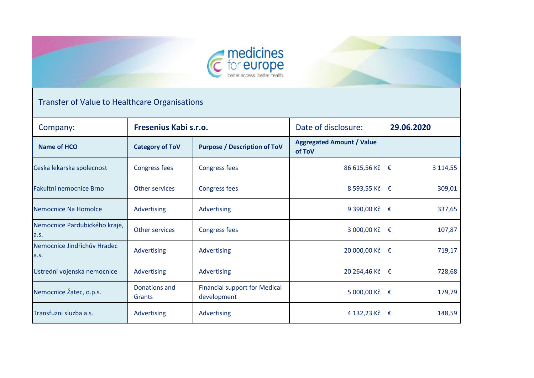

## Transfer of Value to Healthcare Organisations

| Company:                              | Fresenius Kabi s.r.o.   |                                                     | Date of disclosure:                        | 29.06.2020         |  |
|---------------------------------------|-------------------------|-----------------------------------------------------|--------------------------------------------|--------------------|--|
| Name of HCO                           | <b>Category of ToV</b>  | <b>Purpose / Description of ToV</b>                 | <b>Aggregated Amount / Value</b><br>of ToV |                    |  |
| Ceska lekarska spolecnost             | <b>Congress fees</b>    | <b>Congress fees</b>                                | 86 615,56 Kč                               | 3 1 1 4 , 5 5<br>€ |  |
| Fakultní nemocnice Brno               | Other services          | <b>Congress fees</b>                                | 8 593,55 Kč                                | 309,01<br>€        |  |
| Nemocnice Na Homolce                  | Advertising             | Advertising                                         | 9 390,00 Kč                                | 337,65<br>€        |  |
| Nemocnice Pardubického kraje,<br>a.s. | Other services          | <b>Congress fees</b>                                | 3 000,00 Kč                                | 107,87<br>€        |  |
| Nemocnice Jindřichův Hradec<br>a.s.   | Advertising             | Advertising                                         | 20 000,00 Kč                               | 719,17<br>€        |  |
| Ustredni vojenska nemocnice           | Advertising             | Advertising                                         | 20 264,46 Kč                               | 728,68<br>€        |  |
| Nemocnice Žatec, o.p.s.               | Donations and<br>Grants | <b>Financial support for Medical</b><br>development | 5 000,00 Kč                                | 179,79<br>€        |  |
| Transfuzni sluzba a.s.                | Advertising             | Advertising                                         | 4 132,23 Kč                                | 148,59<br>€        |  |